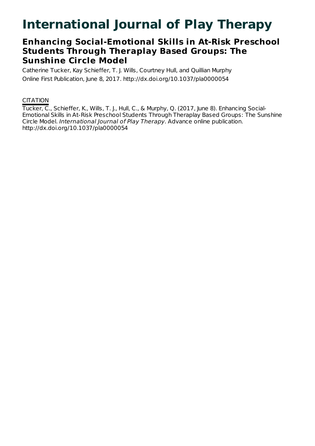# **International Journal of Play Therapy**

## **Enhancing Social-Emotional Skills in At-Risk Preschool Students Through Theraplay Based Groups: The Sunshine Circle Model**

Catherine Tucker, Kay Schieffer, T. J. Wills, Courtney Hull, and Quillian Murphy Online First Publication, June 8, 2017. http://dx.doi.org/10.1037/pla0000054

## **CITATION**

Tucker, C., Schieffer, K., Wills, T. J., Hull, C., & Murphy, Q. (2017, June 8). Enhancing Social-Emotional Skills in At-Risk Preschool Students Through Theraplay Based Groups: The Sunshine Circle Model. International Journal of Play Therapy. Advance online publication. http://dx.doi.org/10.1037/pla0000054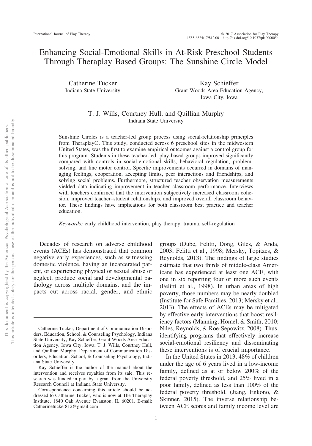## Enhancing Social-Emotional Skills in At-Risk Preschool Students Through Theraplay Based Groups: The Sunshine Circle Model

Catherine Tucker Indiana State University

Kay Schieffer Grant Woods Area Education Agency, Iowa City, Iowa

#### T. J. Wills, Courtney Hull, and Quillian Murphy Indiana State University

Sunshine Circles is a teacher-led group process using social-relationship principles from Theraplay®. This study, conducted across 6 preschool sites in the midwestern United States, was the first to examine empirical outcomes against a control group for this program. Students in these teacher-led, play-based groups improved significantly compared with controls in social-emotional skills, behavioral regulation, problemsolving, and fine motor control. Specific improvements occurred in domains of managing feelings, cooperation, accepting limits, peer interactions and friendships, and solving social problems. Furthermore, structured teacher observation measurements yielded data indicating improvement in teacher classroom performance. Interviews with teachers confirmed that the intervention subjectively increased classroom cohesion, improved teacher–student relationships, and improved overall classroom behavior. These findings have implications for both classroom best practice and teacher education.

*Keywords:* early childhood intervention, play therapy, trauma, self-regulation

Decades of research on adverse childhood events (ACEs) has demonstrated that common negative early experiences, such as witnessing domestic violence, having an incarcerated parent, or experiencing physical or sexual abuse or neglect, produce social and developmental pathology across multiple domains, and the impacts cut across racial, gender, and ethnic

groups (Dube, Felitti, Dong, Giles, & Anda, 2003; Felitti et al., 1998; Mersky, Topitzes, & Reynolds, 2013). The findings of large studies estimate that two thirds of middle-class Americans has experienced at least one ACE, with one in six reporting four or more such events (Felitti et al., 1998). In urban areas of high poverty, those numbers may be nearly doubled (Institute for Safe Families, 2013; Mersky et al., 2013). The effects of ACEs may be mitigated by effective early interventions that boost resiliency factors (Manning, Homel, & Smith, 2010; Niles, Reynolds, & Roe-Sepowitz, 2008). Thus, identifying programs that effectively increase social-emotional resiliency and disseminating these interventions is of crucial importance.

In the United States in 2013, 48% of children under the age of 6 years lived in a low-income family, defined as at or below 200% of the federal poverty threshold, and 25% lived in a poor family, defined as less than 100% of the federal poverty threshold. (Jiang, Enkono, & Skinner, 2015). The inverse relationship between ACE scores and family income level are

Catherine Tucker, Department of Communication Disorders, Education, School, & Counseling Psychology, Indiana State University; Kay Schieffer, Grant Woods Area Education Agency, Iowa City, Iowa; T. J. Wills, Courtney Hull, and Quillian Murphy, Department of Communication Disorders, Education, School, & Counseling Psychology, Indiana State University.

Kay Schieffer is the author of the manual about the intervention and receives royalties from its sale. This research was funded in part by a grant from the University Research Council at Indiana State University.

Correspondence concerning this article should be addressed to Catherine Tucker, who is now at The Theraplay Institute, 1840 Oak Avenue Evanston, IL 60201. E-mail: [Catherinetucker812@gmail.com](mailto:Catherinetucker812@gmail.com)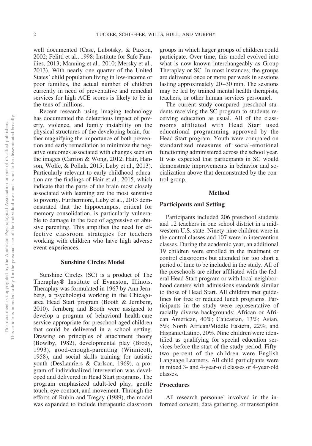well documented (Case, Lubotsky, & Paxson, 2002; Felitti et al., 1998; Institute for Safe Families, 2013; Manning et al., 2010; Mersky et al., 2013). With nearly one quarter of the United States' child population living in low-income or poor families, the actual number of children currently in need of preventative and remedial services for high ACE scores is likely to be in the tens of millions.

Recent research using imaging technology has documented the deleterious impact of poverty, violence, and family instability on the physical structures of the developing brain, further magnifying the importance of both prevention and early remediation to minimize the negative outcomes associated with changes seen on the images (Carrion & Wong, 2012; Hair, Hanson, Wolfe, & Pollak, 2015; Luby et al., 2013). Particularly relevant to early childhood education are the findings of Hair et al., 2015, which indicate that the parts of the brain most closely associated with learning are the most sensitive to poverty. Furthermore, Luby et al., 2013 demonstrated that the hippocampus, critical for memory consolidation, is particularly vulnerable to damage in the face of aggressive or abusive parenting. This amplifies the need for effective classroom strategies for teachers working with children who have high adverse event experiences.

#### **Sunshine Circles Model**

Sunshine Circles (SC) is a product of The Theraplay® Institute of Evanston, Illinois. Theraplay was formulated in 1967 by Ann Jernberg, a psychologist working in the Chicagoarea Head Start program (Booth & Jernberg, 2010). Jernberg and Booth were assigned to develop a program of behavioral health-care service appropriate for preschool-aged children that could be delivered in a school setting. Drawing on principles of attachment theory (Bowlby, 1982), developmental play (Brody, 1993), good-enough-parenting (Winnicott, 1958), and social skills training for autistic youth (DesLauriers & Carlson, 1969), a program of individualized intervention was developed and delivered in Head Start programs. The program emphasized adult-led play, gentle touch, eye contact, and movement. Through the efforts of Rubin and Tregay (1989), the model was expanded to include therapeutic classroom groups in which larger groups of children could participate. Over time, this model evolved into what is now known interchangeably as Group Theraplay or SC. In most instances, the groups are delivered once or more per week in sessions lasting approximately 20–30 min. The sessions may be led by trained mental health therapists, teachers, or other human services personnel.

The current study compared preschool students receiving the SC program to students receiving education as usual. All of the classrooms affiliated with Head Start used educational programming approved by the Head Start program. Youth were compared on standardized measures of social-emotional functioning administered across the school year. It was expected that participants in SC would demonstrate improvements in behavior and socialization above that demonstrated by the control group.

#### **Method**

#### **Participants and Setting**

Participants included 206 preschool students and 12 teachers in one school district in a midwestern U.S. state. Ninety-nine children were in the control classes and 107 were in intervention classes. During the academic year, an additional 19 children were enrolled in the treatment or control classrooms but attended for too short a period of time to be included in the study. All of the preschools are either affiliated with the federal Head Start program or with local neighborhood centers with admissions standards similar to those of Head Start. All children met guidelines for free or reduced lunch programs. Participants in the study were representative of racially diverse backgrounds: African or African American, 40%; Caucasian, 13%; Asian, 5%; North African/Middle Eastern, 22%; and Hispanic/Latino, 20%. Nine children were identified as qualifying for special education services before the start of the study period. Fiftytwo percent of the children were English Language Learners. All child participants were in mixed 3- and 4-year-old classes or 4-year-old classes.

#### **Procedures**

All research personnel involved in the informed consent, data gathering, or transcription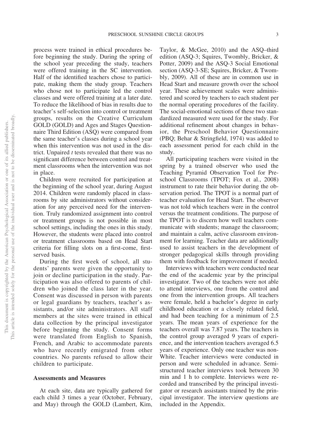process were trained in ethical procedures before beginning the study. During the spring of the school year preceding the study, teachers were offered training in the SC intervention. Half of the identified teachers chose to participate, making them the study group. Teachers who chose not to participate led the control classes and were offered training at a later date. To reduce the likelihood of bias in results due to teacher's self-selection into control or treatment groups, results on the Creative Curriculum GOLD (GOLD) and Ages and Stages Questionnaire Third Edition (ASQ) were compared from the same teacher's classes during a school year when this intervention was not used in the district. Unpaired *t* tests revealed that there was no significant difference between control and treatment classrooms when the intervention was not in place.

Children were recruited for participation at the beginning of the school year, during August 2014. Children were randomly placed in classrooms by site administrators without consideration for any perceived need for the intervention. Truly randomized assignment into control or treatment groups is not possible in most school settings, including the ones in this study. However, the students were placed into control or treatment classrooms based on Head Start criteria for filling slots on a first-come, firstserved basis.

During the first week of school, all students' parents were given the opportunity to join or decline participation in the study. Participation was also offered to parents of children who joined the class later in the year. Consent was discussed in person with parents or legal guardians by teachers, teacher's assistants, and/or site administrators. All staff members at the sites were trained in ethical data collection by the principal investigator before beginning the study. Consent forms were translated from English to Spanish, French, and Arabic to accommodate parents who have recently emigrated from other countries. No parents refused to allow their children to participate.

#### **Assessments and Measures**

At each site, data are typically gathered for each child 3 times a year (October, February, and May) through the GOLD (Lambert, Kim, Taylor, & McGee, 2010) and the ASQ–third edition (ASQ-3; Squires, Twombly, Bricker, & Potter, 2009) and the ASQ-3 Social Emotional section (ASQ-3-SE; Squires, Bricker, & Twombly, 2009). All of these are in common use in Head Start and measure growth over the school year. These achievement scales were administered and scored by teachers to each student per the normal operating procedures of the facility. The social-emotional sections of these two standardized measured were used for the study. For additional refinement about changes in behavior, the Preschool Behavior Questionnaire (PBQ; Behar & Stringfield, 1974) was added to each assessment period for each child in the study.

All participating teachers were visited in the spring by a trained observer who used the Teaching Pyramid Observation Tool for Preschool Classrooms (TPOT; Fox et al., 2008) instrument to rate their behavior during the observation period. The TPOT is a normal part of teacher evaluation for Head Start. The observer was not told which teachers were in the control versus the treatment conditions. The purpose of the TPOT is to discern how well teachers communicate with students; manage the classroom; and maintain a calm, active classroom environment for learning. Teacher data are additionally used to assist teachers in the development of stronger pedagogical skills through providing them with feedback for improvement if needed.

Interviews with teachers were conducted near the end of the academic year by the principal investigator. Two of the teachers were not able to attend interviews, one from the control and one from the intervention groups. All teachers were female, held a bachelor's degree in early childhood education or a closely related field, and had been teaching for a minimum of 2.5 years. The mean years of experience for the teachers overall was 7.87 years. The teachers in the control group averaged 9 years of experience, and the intervention teachers averaged 6.5 years of experience. Only one teacher was non-White. Teacher interviews were conducted in person and were scheduled in advance. Semistructured teacher interviews took between 30 min and 1 h to complete. Interviews were recorded and transcribed by the principal investigator or research assistants trained by the principal investigator. The interview questions are included in the Appendix.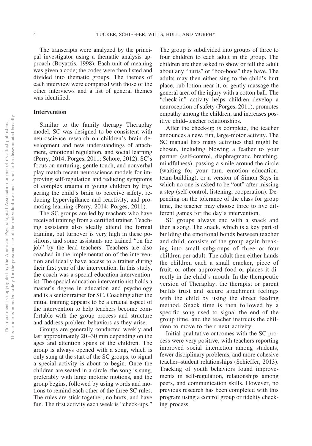The transcripts were analyzed by the principal investigator using a thematic analysis approach (Boyatzis, 1998). Each unit of meaning was given a code; the codes were then listed and divided into thematic groups. The themes of each interview were compared with those of the other interviews and a list of general themes was identified.

#### **Intervention**

Similar to the family therapy Theraplay model, SC was designed to be consistent with neuroscience research on children's brain development and new understandings of attachment, emotional regulation, and social learning (Perry, 2014; Porges, 2011; Schore, 2012). SC's focus on nurturing, gentle touch, and nonverbal play match recent neuroscience models for improving self-regulation and reducing symptoms of complex trauma in young children by triggering the child's brain to perceive safety, reducing hypervigilance and reactivity, and promoting learning (Perry, 2014; Porges, 2011).

The SC groups are led by teachers who have received training from a certified trainer. Teaching assistants also ideally attend the formal training, but turnover is very high in these positions, and some assistants are trained "on the job" by the lead teachers. Teachers are also coached in the implementation of the intervention and ideally have access to a trainer during their first year of the intervention. In this study, the coach was a special education interventionist. The special education interventionist holds a master's degree in education and psychology and is a senior trainer for SC. Coaching after the initial training appears to be a crucial aspect of the intervention to help teachers become comfortable with the group process and structure and address problem behaviors as they arise.

Groups are generally conducted weekly and last approximately 20–30 min depending on the ages and attention spans of the children. The group is always opened with a song, which is only sung at the start of the SC groups, to signal a special activity is about to begin. Once the children are seated in a circle, the song is sung, preferably with large motoric motions, and the group begins, followed by using words and motions to remind each other of the three SC rules. The rules are stick together, no hurts, and have fun. The first activity each week is "check-ups."

The group is subdivided into groups of three to four children to each adult in the group. The children are then asked to show or tell the adult about any "hurts" or "boo-boos" they have. The adults may then either sing to the child's hurt place, rub lotion near it, or gently massage the general area of the injury with a cotton ball. The "check-in" activity helps children develop a neuroception of safety (Porges, 2011), promotes empathy among the children, and increases positive child–teacher relationships.

After the check-up is complete, the teacher announces a new, fun, large-motor activity. The SC manual lists many activities that might be chosen, including blowing a feather to your partner (self-control, diaphragmatic breathing, mindfulness), passing a smile around the circle (waiting for your turn, emotion education, team-building), or a version of Simon Says in which no one is asked to be "out" after missing a step (self-control, listening, cooperation). Depending on the tolerance of the class for group time, the teacher may choose three to five different games for the day's intervention.

SC groups always end with a snack and then a song. The snack, which is a key part of building the emotional bonds between teacher and child, consists of the group again breaking into small subgroups of three or four children per adult. The adult then either hands the children each a small cracker, piece of fruit, or other approved food or places it directly in the child's mouth. In the therapeutic version of Theraplay, the therapist or parent builds trust and secure attachment feelings with the child by using the direct feeding method. Snack time is then followed by a specific song used to signal the end of the group time, and the teacher instructs the children to move to their next activity.

Initial qualitative outcomes with the SC process were very positive, with teachers reporting improved social interaction among students, fewer disciplinary problems, and more cohesive teacher–student relationships (Schieffer, 2013). Tracking of youth behaviors found improvements in self-regulation, relationships among peers, and communication skills. However, no previous research has been completed with this program using a control group or fidelity checking process.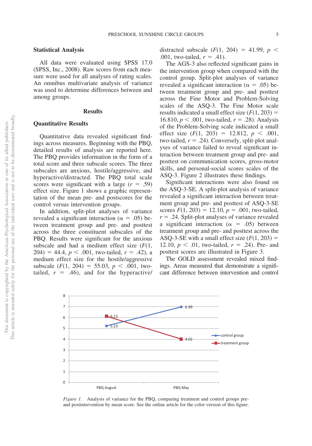#### **Statistical Analysis**

All data were evaluated using SPSS 17.0 (SPSS, Inc., 2008). Raw scores from each measure were used for all analyses of rating scales. An omnibus multivariate analysis of variance was used to determine differences between and among groups.

#### **Results**

#### **Quantitative Results**

Quantitative data revealed significant findings across measures. Beginning with the PBQ, detailed results of analysis are reported here. The PBQ provides information in the form of a total score and three subscale scores. The three subscales are anxious, hostile/aggressive, and hyperactive/distracted. The PBQ total scale scores were significant with a large  $(r = .59)$ effect size. Figure 1 shows a graphic representation of the mean pre- and postscores for the control versus intervention groups.

In addition, split-plot analyses of variance revealed a significant interaction ( $\alpha = .05$ ) between treatment group and pre- and posttest across the three constituent subscales of the PBQ. Results were significant for the anxious subscale and had a medium effect size (*F*(1,  $204$  = 44.4,  $p < .001$ , two-tailed,  $r = .42$ ), a medium effect size for the hostile/aggressive subscale  $(F(1, 204) = 55.03, p < .001,$  twotailed,  $r = .46$ ), and for the hyperactive/

distracted subscale  $(F(1, 204) = 41.99, p <$ .001, two-tailed,  $r = .41$ ).

The AGS-3 also reflected significant gains in the intervention group when compared with the control group. Split-plot analyses of variance revealed a significant interaction ( $\alpha = .05$ ) between treatment group and pre- and posttest across the Fine Motor and Problem-Solving scales of the ASQ-3. The Fine Motor scale results indicated a small effect size  $(F(1, 203)) =$ 16.810,  $p < .001$ , two-tailed,  $r = .28$ ). Analysis of the Problem-Solving scale indicated a small effect size  $(F(1, 203) = 12.812, p < .001,$  $two$ -tailed,  $r = .24$ ). Conversely, split-plot analyses of variance failed to reveal significant interaction between treatment group and pre- and posttest on communication scores, gross-motor skills, and personal-social scores scales of the ASQ-3. [Figure 2](#page-6-0) illustrates these findings.

Significant interactions were also found on the ASQ-3-SE. A split-plot analysis of variance revealed a significant interaction between treatment group and pre- and posttest of ASQ-3-SE scores  $F(1, 203) = 12.10, p = .001$ , two-tailed,  $r = .24$ . Split-plot analyses of variance revealed a significant interaction ( $\alpha$  = .05) between treatment group and pre- and posttest across the ASQ-3-SE with a small effect size  $(F(1, 203)) =$ 12.10,  $p < .01$ , two-tailed,  $r = .24$ ). Pre- and posttest scores are illustrated in Figure 3.

The GOLD assessment revealed mixed findings. Areas measured that demonstrate a significant difference between intervention and control



 $\Omega$ 1  $\overline{2}$ 3 4 5

*Figure 1.* Analysis of variance for the PBQ, comparing treatment and control groups preand postintervention by mean score. See the online article for the color version of this figure.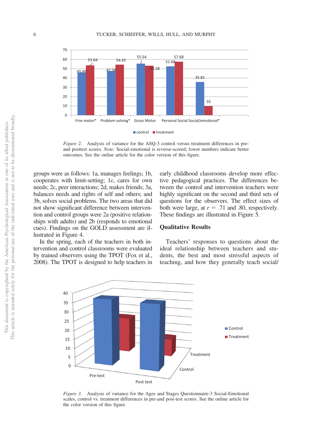

<span id="page-6-0"></span>*Figure 2.* Analysis of variance for the ASQ-3 control versus treatment differences in preand posttest scores. *Note:* Social-emotional is reverse-scored; lower numbers indicate better outcomes. See the online article for the color version of this figure.

groups were as follows: 1a, manages feelings; 1b, cooperates with limit-setting; 1c, cares for own needs; 2c, peer interactions; 2d, makes friends; 3a, balances needs and rights of self and others; and 3b, solves social problems. The two areas that did not show significant difference between intervention and control groups were 2a (positive relationships with adults) and 2b (responds to emotional cues). Findings on the GOLD assessment are illustrated in Figure 4.

In the spring, each of the teachers in both intervention and control classrooms were evaluated by trained observers using the TPOT (Fox et al., 2008). The TPOT is designed to help teachers in early childhood classrooms develop more effective pedagogical practices. The differences between the control and intervention teachers were highly significant on the second and third sets of questions for the observers. The effect sizes of both were large, at  $r = .71$  and .80, respectively. These findings are illustrated in [Figure 5.](#page-7-0)

#### **Qualitative Results**

Teachers' responses to questions about the ideal relationship between teachers and students, the best and most stressful aspects of teaching, and how they generally teach social/



*Figure 3.* Analysis of variance for the Ages and Stages Questionnaire-3 Social-Emotional scales, control vs. treatment differences in pre-and post-test scores. See the online article for the color version of this figure.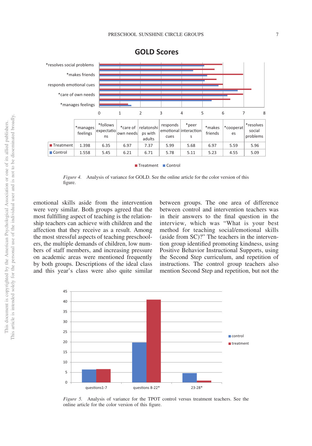

#### **GOLD Scores**

Treatment Control

*Figure 4.* Analysis of variance for GOLD. See the online article for the color version of this figure.

emotional skills aside from the intervention were very similar. Both groups agreed that the most fulfilling aspect of teaching is the relationship teachers can achieve with children and the affection that they receive as a result. Among the most stressful aspects of teaching preschoolers, the multiple demands of children, low numbers of staff members, and increasing pressure on academic areas were mentioned frequently by both groups. Descriptions of the ideal class and this year's class were also quite similar

between groups. The one area of difference between control and intervention teachers was in their answers to the final question in the interview, which was "What is your best method for teaching social/emotional skills (aside from SC)?" The teachers in the intervention group identified promoting kindness, using Positive Behavior Instructional Supports, using the Second Step curriculum, and repetition of instructions. The control group teachers also mention Second Step and repetition, but not the



<span id="page-7-0"></span>*Figure 5.* Analysis of variance for the TPOT control versus treatment teachers. See the online article for the color version of this figure.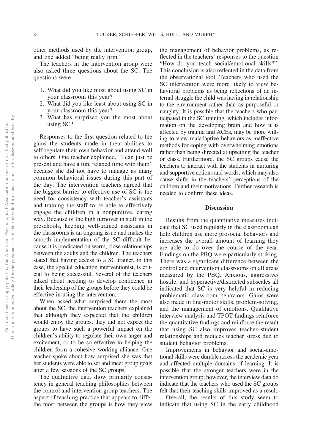other methods used by the intervention group, and one added "being really firm."

The teachers in the intervention group were also asked three questions about the SC. The questions were

- 1. What did you like most about using SC in your classroom this year?
- 2. What did you like least about using SC in your classroom this year?
- 3. What has surprised you the most about using SC?

Responses to the first question related to the gains the students made in their abilities to self-regulate their own behavior and attend well to others. One teacher explained, "I can just be present and have a fun, relaxed time with them" because she did not have to manage as many common behavioral issues during this part of the day. The intervention teachers agreed that the biggest barrier to effective use of SC is the need for consistency with teacher's assistants and training the staff to be able to effectively engage the children in a nonpunitive, caring way. Because of the high turnover in staff in the preschools, keeping well-trained assistants in the classrooms is an ongoing issue and makes the smooth implementation of the SC difficult because it is predicated on warm, close relationships between the adults and the children. The teachers stated that having access to a SC trainer, in this case, the special education interventionist, is crucial to being successful. Several of the teachers talked about needing to develop confidence in their leadership of the groups before they could be effective in using the intervention.

When asked what surprised them the most about the SC, the intervention teachers explained that although they expected that the children would enjoy the groups, they did not expect the groups to have such a powerful impact on the children's ability to regulate their own anger and excitement, or to be so effective in helping the children form a cohesive working alliance. One teacher spoke about how surprised she was that her students were able to set and meet group goals after a few sessions of the SC groups.

The qualitative data show primarily consistency in general teaching philosophies between the control and intervention group teachers. The aspect of teaching practice that appears to differ the most between the groups is how they view

the management of behavior problems, as reflected in the teachers' responses to the question "How do you teach social/emotional skills?". This conclusion is also reflected in the data from the observational tool. Teachers who used the SC intervention were more likely to view behavioral problems as being reflections of an internal struggle the child was having in relationship to the environment rather than as purposeful or naughty. It is possible that the teachers who participated in the SC training, which includes information on the developing brain and how it is affected by trauma and ACEs, may be more willing to view maladaptive behaviors as ineffective methods for coping with overwhelming emotions rather than being directed at upsetting the teacher or class. Furthermore, the SC groups cause the teachers to interact with the students in nurturing and supportive actions and words, which may also cause shifts in the teachers' perceptions of the children and their motivations. Further research is needed to confirm these ideas.

#### **Discussion**

Results from the quantitative measures indicate that SC used regularly in the classroom can help children use more prosocial behaviors and increases the overall amount of learning they are able to do over the course of the year. Findings on the PBQ were particularly striking. There was a significant difference between the control and intervention classrooms on all areas measured by the PBQ. Anxious, aggressive/ hostile, and hyperactive/distracted subscales all indicated that SC is very helpful in reducing problematic classroom behaviors. Gains were also made in fine-motor skills, problem-solving, and the management of emotions. Qualitative interview analysis and TPOT findings reinforce the quantitative findings and reinforce the result that using SC also improves teacher–student relationships and reduces teacher stress due to student behavior problems.

Improvements in behavior and social-emotional skills were durable across the academic year and affected multiple domains of learning. It is possible that the stronger teachers were in the intervention group; however, the interview data do indicate that the teachers who used the SC groups felt that their teaching skills improved as a result.

Overall, the results of this study seem to indicate that using SC in the early childhood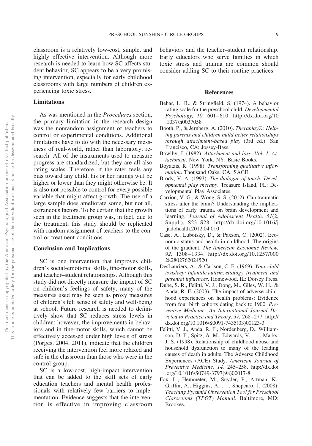classroom is a relatively low-cost, simple, and highly effective intervention. Although more research is needed to learn how SC affects student behavior, SC appears to be a very promising intervention, especially for early childhood classrooms with large numbers of children experiencing toxic stress.

#### **Limitations**

As was mentioned in the *Procedures* section, the primary limitation in the research design was the nonrandom assignment of teachers to control or experimental conditions. Additional limitations have to do with the necessary messiness of real-world, rather than laboratory, research. All of the instruments used to measure progress are standardized, but they are all also rating scales. Therefore, if the rater feels any bias toward any child, his or her ratings will be higher or lower than they might otherwise be. It is also not possible to control for every possible variable that might affect growth. The use of a large sample does ameliorate some, but not all, extraneous factors. To be certain that the growth seen in the treatment group was, in fact, due to the treatment, this study should be replicated with random assignment of teachers to the control or treatment conditions.

#### **Conclusion and Implications**

SC is one intervention that improves children's social-emotional skills, fine-motor skills, and teacher–student relationships. Although this study did not directly measure the impact of SC on children's feelings of safety, many of the measures used may be seen as proxy measures of children's felt sense of safety and well-being at school. Future research is needed to definitively show that SC reduces stress levels in children; however, the improvements in behaviors and in fine-motor skills, which cannot be effectively accessed under high levels of stress (Porges, 2004, 2011), indicate that the children receiving the intervention feel more relaxed and safe in the classroom than those who were in the control group.

SC is a low-cost, high-impact intervention that can be added to the skill sets of early education teachers and mental health professionals with relatively few barriers to implementation. Evidence suggests that the intervention is effective in improving classroom

behaviors and the teacher–student relationship. Early educators who serve families in which toxic stress and trauma are common should consider adding SC to their routine practices.

#### **References**

- Behar, L. B., & Stringfield, S. (1974). A behavior rating scale for the preschool child. *Developmental Psychology, 10,* 601–610. [http://dx.doi.org/10](http://dx.doi.org/10.1037/h0037058) [.1037/h0037058](http://dx.doi.org/10.1037/h0037058)
- Booth, P., & Jernberg, A. (2010). *Theraplay®: Helping parents and children build better relationships through attachment-based play* (3rd ed.). San Francisco, CA: Jossey-Bass.
- Bowlby, J. (1982). *Attachment and loss: Vol. 1*. *Attachment*. New York, NY: Basic Books.
- Boyatzis, R. (1998). *Transforming qualitative information*. Thousand Oaks, CA: SAGE.
- Brody, V. A. (1993). *The dialogue of touch: Developmental play therapy*. Treasure Island, FL: Developmental Play Associates.
- Carrion, V. G., & Wong, S. S. (2012). Can traumatic stress alter the brain? Understanding the implications of early trauma on brain development and learning. *Journal of Adolescent Health, 51*(2, Suppl.), S23–S28. [http://dx.doi.org/10.1016/j](http://dx.doi.org/10.1016/j.jadohealth.2012.04.010) [.jadohealth.2012.04.010](http://dx.doi.org/10.1016/j.jadohealth.2012.04.010)
- Case, A., Lubotsky, D., & Paxson, C. (2002). Economic status and health in childhood: The origins of the gradient. *The American Economic Review, 92,* 1308–1334. [http://dx.doi.org/10.1257/000](http://dx.doi.org/10.1257/000282802762024520) [282802762024520](http://dx.doi.org/10.1257/000282802762024520)
- DesLauriers, A., & Carlson, C. F. (1969). *Your child is asleep: Infantile autism, etiology, treatment, and parental influences*. Homewood, IL: Dorsey Press.
- Dube, S. R., Felitti, V. J., Dong, M., Giles, W. H., & Anda, R. F. (2003). The impact of adverse childhood experiences on health problems: Evidence from four birth cohorts dating back to 1900. *Preventive Medicine: An International Journal Devoted to Practice and Theory, 37,* 268–277. [http://](http://dx.doi.org/10.1016/S0091-7435%2803%2900123-3) [dx.doi.org/10.1016/S0091-7435\(03\)00123-3](http://dx.doi.org/10.1016/S0091-7435%2803%2900123-3)
- Felitti, V. J., Anda, R. F., Nordenberg, D., Williamson, D. F., Spitz, A. M., Edwards, V.,... Marks, J. S. (1998). Relationship of childhood abuse and household dysfunction to many of the leading causes of death in adults. The Adverse Childhood Experiences (ACE) Study. *American Journal of Preventive Medicine, 14,* 245–258. [http://dx.doi](http://dx.doi.org/10.1016/S0749-3797%2898%2900017-8) [.org/10.1016/S0749-3797\(98\)00017-8](http://dx.doi.org/10.1016/S0749-3797%2898%2900017-8)
- Fox, L., Hemmeter, M., Snyder, P., Artman, K., Griffin, A., Higgins, A.... Shepcaro, J. (2008). *Teaching Pyramid Observation Tool for Preschool Classrooms (TPOT) Manual*. Baltimore, MD: Brookes.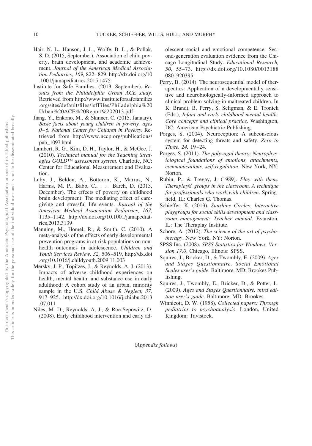- Hair, N. L., Hanson, J. L., Wolfe, B. L., & Pollak, S. D. (2015, September). Association of child poverty, brain development, and academic achievement. *Journal of the American Medical Association Pediatrics, 169,* 822–829. [http://dx.doi.org/10](http://dx.doi.org/10.1001/jamapediatrics.2015.1475) [.1001/jamapediatrics.2015.1475](http://dx.doi.org/10.1001/jamapediatrics.2015.1475)
- Institute for Safe Families. (2013, September). *Results from the Philadelphia Urban ACE study*. Retrieved from [http://www.instituteforsafefamilies](http://www.instituteforsafefamilies.org/sites/default/files/isfFiles/Philadelphia%20Urban%20ACE%20Report%202013.pdf) [.org/sites/default/files/isfFiles/Philadelphia%20](http://www.instituteforsafefamilies.org/sites/default/files/isfFiles/Philadelphia%20Urban%20ACE%20Report%202013.pdf) [Urban%20ACE%20Report%202013.pdf](http://www.instituteforsafefamilies.org/sites/default/files/isfFiles/Philadelphia%20Urban%20ACE%20Report%202013.pdf)
- Jiang, Y., Enkono, M., & Skinner, C. (2015, January). *Basic facts about young children in poverty, ages 0–6. National Center for Children in Poverty*. Retrieved from [http://www.nccp.org/publications/](http://www.nccp.org/publications/pub_1097.html) [pub\\_1097.html](http://www.nccp.org/publications/pub_1097.html)
- Lambert, R. G., Kim, D. H., Taylor, H., & McGee, J. (2010). *Technical manual for the Teaching Strategies GOLD™ assessment system*. Charlotte, NC: Center for Educational Measurement and Evaluation.
- Luby, J., Belden, A., Botteron, K., Marrus, N., Harms, M. P., Babb, C.,... Barch, D. (2013, December). The effects of poverty on childhood brain development: The mediating effect of caregiving and stressful life events. *Journal of the American Medical Association Pediatrics, 167,* 1135–1142. [http://dx.doi.org/10.1001/jamapediat](http://dx.doi.org/10.1001/jamapediatrics.2013.3139)[rics.2013.3139](http://dx.doi.org/10.1001/jamapediatrics.2013.3139)
- Manning, M., Homel, R., & Smith, C. (2010). A meta-analysis of the effects of early developmental prevention programs in at-risk populations on nonhealth outcomes in adolescence. *Children and Youth Services Review, 32,* 506–519. [http://dx.doi](http://dx.doi.org/10.1016/j.childyouth.2009.11.003) [.org/10.1016/j.childyouth.2009.11.003](http://dx.doi.org/10.1016/j.childyouth.2009.11.003)
- Mersky, J. P., Topitzes, J., & Reynolds, A. J. (2013). Impacts of adverse childhood experiences on health, mental health, and substance use in early adulthood: A cohort study of an urban, minority sample in the U.S. *Child Abuse & Neglect, 37,* 917–925. [http://dx.doi.org/10.1016/j.chiabu.2013](http://dx.doi.org/10.1016/j.chiabu.2013.07.011) [.07.011](http://dx.doi.org/10.1016/j.chiabu.2013.07.011)
- Niles, M. D., Reynolds, A. J., & Roe-Sepowitz, D. (2008). Early childhood intervention and early ad-

olescent social and emotional competence: Second-generation evaluation evidence from the Chicago Longitudinal Study. *Educational Research, 50,* 55–73. [http://dx.doi.org/10.1080/0013188](http://dx.doi.org/10.1080/00131880801920395) [0801920395](http://dx.doi.org/10.1080/00131880801920395)

- Perry, B. (2014). The neurosequential model of therapeutics: Application of a developmentally sensitive and neurobiologically-informed approach to clinical problem-solving in maltreated children. In K. Brandt, B. Perry, S. Seligman, & E. Tronick (Eds.), *Infant and early childhood mental health: Core concepts and clinical practice*. Washington, DC: American Psychiatric Publishing.
- Porges, S. (2004). Neuroception: A subconscious system for detecting threats and safety. *Zero to Three, 24,* 19–24.
- Porges, S. (2011). *The polyvagal theory: Neurophysiological foundations of emotions, attachments, communications, self-regulation*. New York, NY: Norton.
- Rubin, P., & Tregay, J. (1989). *Play with them: Theraplay® groups in the classroom, A technique for professionals who work with children*. Springfield, IL: Charles G. Thomas.
- Schieffer, K. (2013). *Sunshine Circles: Interactive playgroups for social skills development and classroom management: Teacher manual*. Evanston, IL: The Theraplay Institute.
- Schore, A. (2012). *The science of the art of psychotherapy*. New York, NY: Norton.
- SPSS Inc. (2008). *SPSS Statistics for Windows, Version 17.0*. Chicago, Illinois: SPSS.
- Squires, J., Bricker, D., & Twombly, E. (2009). *Ages and Stages Questionnaire, Social Emotional Scales user's guide*. Baltimore, MD: Brookes Publishing.
- Squires, J., Twombly, E., Bricker, D., & Potter, L. (2009). *Ages and Stages Questionnaire, third edition user's guide*. Baltimore, MD: Brookes.
- Winnicott, D. W. (1958). *Collected papers: Through pediatrics to psychoanalysis*. London, United Kingdom: Tavistock.